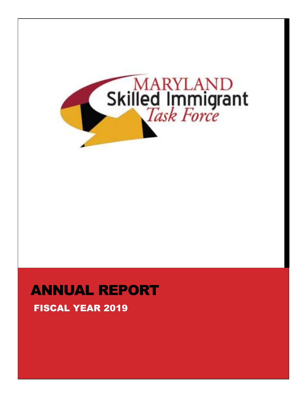

# ANNUAL REPORT

## FISCAL YEAR 2019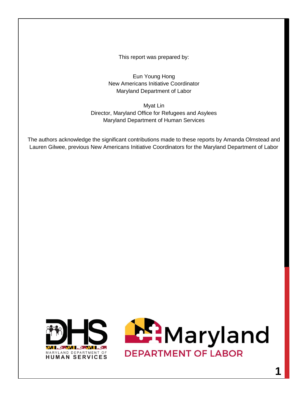This report was prepared by:

Eun Young Hong New Americans Initiative Coordinator Maryland Department of Labor

Myat Lin Director, Maryland Office for Refugees and Asylees Maryland Department of Human Services

The authors acknowledge the significant contributions made to these reports by Amanda Olmstead and Lauren Gilwee, previous New Americans Initiative Coordinators for the Maryland Department of Labor



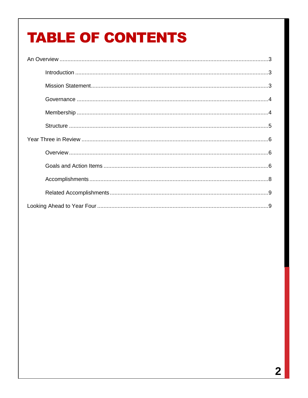# **TABLE OF CONTENTS**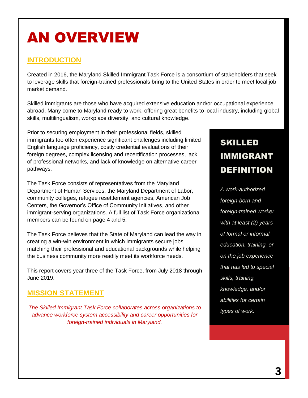# AN OVERVIEW

### **INTRODUCTION**

Created in 2016, the Maryland Skilled Immigrant Task Force is a consortium of stakeholders that seek to leverage skills that foreign-trained professionals bring to the United States in order to meet local job market demand.

Skilled immigrants are those who have acquired extensive education and/or occupational experience abroad. Many come to Maryland ready to work, offering great benefits to local industry, including global skills, multilingualism, workplace diversity, and cultural knowledge.

Prior to securing employment in their professional fields, skilled immigrants too often experience significant challenges including limited English language proficiency, costly credential evaluations of their foreign degrees, complex licensing and recertification processes, lack of professional networks, and lack of knowledge on alternative career pathways.

The Task Force consists of representatives from the Maryland Department of Human Services, the Maryland Department of Labor, community colleges, refugee resettlement agencies, American Job Centers, the Governor's Office of Community Initiatives, and other immigrant-serving organizations. A full list of Task Force organizational members can be found on page 4 and 5.

The Task Force believes that the State of Maryland can lead the way in creating a win-win environment in which immigrants secure jobs matching their professional and educational backgrounds while helping the business community more readily meet its workforce needs.

This report covers year three of the Task Force, from July 2018 through June 2019.

### **MISSION STATEMENT**

*The Skilled Immigrant Task Force collaborates across organizations to advance workforce system accessibility and career opportunities for foreign-trained individuals in Maryland.*

## SKILLED IMMIGRANT DEFINITION

*A work-authorized foreign-born and foreign-trained worker with at least (2) years of formal or informal education, training, or on the job experience that has led to special skills, training, knowledge, and/or abilities for certain types of work.*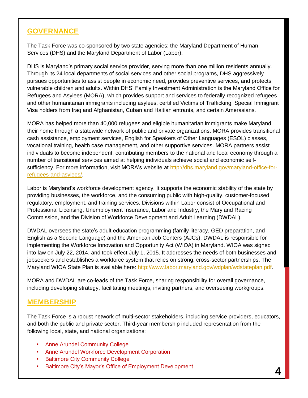### **GOVERNANCE**

The Task Force was co-sponsored by two state agencies: the Maryland Department of Human Services (DHS) and the Maryland Department of Labor (Labor).

DHS is Maryland's primary social service provider, serving more than one million residents annually. Through its 24 local departments of social services and other social programs, DHS aggressively pursues opportunities to assist people in economic need, provides preventive services, and protects vulnerable children and adults. Within DHS' Family Investment Administration is the Maryland Office for Refugees and Asylees (MORA), which provides support and services to federally recognized refugees and other humanitarian immigrants including asylees, certified Victims of Trafficking, Special Immigrant Visa holders from Iraq and Afghanistan, Cuban and Haitian entrants, and certain Amerasians.

MORA has helped more than 40,000 refugees and eligible humanitarian immigrants make Maryland their home through a statewide network of public and private organizations. MORA provides transitional cash assistance, employment services, English for Speakers of Other Languages (ESOL) classes, vocational training, health case management, and other supportive services. MORA partners assist individuals to become independent, contributing members to the national and local economy through a number of transitional services aimed at helping individuals achieve social and economic selfsufficiency. For more information, visit MORA's website at [http://dhs.maryland.gov/maryland-office-for](http://dhs.maryland.gov/maryland-office-for-refugees-and-asylees/)[refugees-and-asylees/.](http://dhs.maryland.gov/maryland-office-for-refugees-and-asylees/)

Labor is Maryland's workforce development agency. It supports the economic stability of the state by providing businesses, the workforce, and the consuming public with high-quality, customer-focused regulatory, employment, and training services. Divisions within Labor consist of Occupational and Professional Licensing, Unemployment Insurance, Labor and Industry, the Maryland Racing Commission, and the Division of Workforce Development and Adult Learning (DWDAL).

DWDAL oversees the state's adult education programming (family literacy, GED preparation, and English as a Second Language) and the American Job Centers (AJCs). DWDAL is responsible for implementing the Workforce Innovation and Opportunity Act (WIOA) in Maryland. WIOA was signed into law on July 22, 2014, and took effect July 1, 2015. It addresses the needs of both businesses and jobseekers and establishes a workforce system that relies on strong, cross-sector partnerships. The Maryland WIOA State Plan is available here: [http://www.labor.maryland.gov/wdplan/wdstateplan.pdf.](http://www.labor.maryland.gov/wdplan/wdstateplan.pdf)

MORA and DWDAL are co-leads of the Task Force, sharing responsibility for overall governance, including developing strategy, facilitating meetings, inviting partners, and overseeing workgroups.

#### **MEMBERSHIP**

The Task Force is a robust network of multi-sector stakeholders, including service providers, educators, and both the public and private sector. Third-year membership included representation from the following local, state, and national organizations:

- **Anne Arundel Community College**
- **Anne Arundel Workforce Development Corporation**
- **Baltimore City Community College**
- **Baltimore City's Mayor's Office of Employment Development**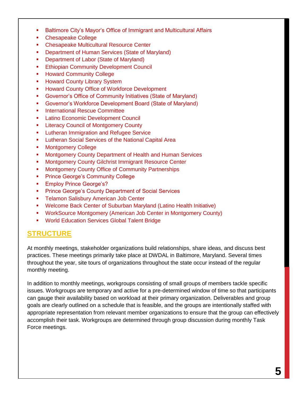- Baltimore City's Mayor's Office of Immigrant and Multicultural Affairs
- Chesapeake College
- **EXEC** Chesapeake Multicultural Resource Center
- **Department of Human Services (State of Maryland)**
- **Department of Labor (State of Maryland)**
- **Ethiopian Community Development Council**
- **Howard Community College**
- **Howard County Library System**
- **Howard County Office of Workforce Development**
- Governor's Office of Community Initiatives (State of Maryland)
- Governor's Workforce Development Board (State of Maryland)
- **International Rescue Committee**
- **Latino Economic Development Council**
- **E.** Literacy Council of Montgomery County
- **EXEC** Lutheran Immigration and Refugee Service
- **EXECT:** Lutheran Social Services of the National Capital Area
- **Montgomery College**
- **Montgomery County Department of Health and Human Services**
- **Montgomery County Gilchrist Immigrant Resource Center**
- **Montgomery County Office of Community Partnerships**
- Prince George's Community College
- **Employ Prince George's?**
- **Prince George's County Department of Social Services**
- **Telamon Salisbury American Job Center**
- Welcome Back Center of Suburban Maryland (Latino Health Initiative)
- WorkSource Montgomery (American Job Center in Montgomery County)
- World Education Services Global Talent Bridge

### **STRUCTURE**

At monthly meetings, stakeholder organizations build relationships, share ideas, and discuss best practices. These meetings primarily take place at DWDAL in Baltimore, Maryland. Several times throughout the year, site tours of organizations throughout the state occur instead of the regular monthly meeting.

In addition to monthly meetings, workgroups consisting of small groups of members tackle specific issues. Workgroups are temporary and active for a pre-determined window of time so that participants can gauge their availability based on workload at their primary organization. Deliverables and group goals are clearly outlined on a schedule that is feasible, and the groups are intentionally staffed with appropriate representation from relevant member organizations to ensure that the group can effectively accomplish their task. Workgroups are determined through group discussion during monthly Task Force meetings.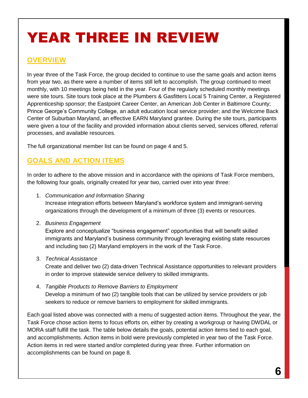# YEAR THREE IN REVIEW

### **OVERVIEW**

In year three of the Task Force, the group decided to continue to use the same goals and action items from year two, as there were a number of items still left to accomplish. The group continued to meet monthly, with 10 meetings being held in the year. Four of the regularly scheduled monthly meetings were site tours. Site tours took place at the Plumbers & Gasfitters Local 5 Training Center, a Registered Apprenticeship sponsor; the Eastpoint Career Center, an American Job Center in Baltimore County; Prince George's Community College, an adult education local service provider; and the Welcome Back Center of Suburban Maryland, an effective EARN Maryland grantee. During the site tours, participants were given a tour of the facility and provided information about clients served, services offered, referral processes, and available resources.

The full organizational member list can be found on page 4 and 5.

### **GOALS AND ACTION ITEMS**

In order to adhere to the above mission and in accordance with the opinions of Task Force members, the following four goals, originally created for year two, carried over into year three:

1. *Communication and Information Sharing*

Increase integration efforts between Maryland's workforce system and immigrant-serving organizations through the development of a minimum of three (3) events or resources.

2. *Business Engagement*

Explore and conceptualize "business engagement" opportunities that will benefit skilled immigrants and Maryland's business community through leveraging existing state resources and including two (2) Maryland employers in the work of the Task Force.

3. *Technical Assistance*

Create and deliver two (2) data-driven Technical Assistance opportunities to relevant providers in order to improve statewide service delivery to skilled immigrants.

4. *Tangible Products to Remove Barriers to Employment* Develop a minimum of two (2) tangible tools that can be utilized by service providers or job seekers to reduce or remove barriers to employment for skilled immigrants.

Each goal listed above was connected with a menu of suggested action items. Throughout the year, the Task Force chose action items to focus efforts on, either by creating a workgroup or having DWDAL or MORA staff fulfill the task. The table below details the goals, potential action items tied to each goal, and accomplishments. Action items in bold were previously completed in year two of the Task Force. Action items in red were started and/or completed during year three. Further information on accomplishments can be found on page 8.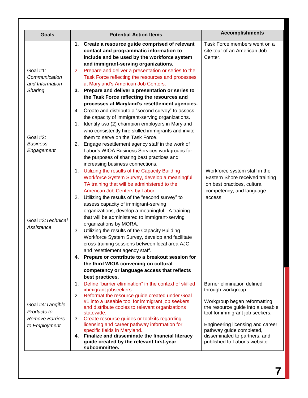| <b>Goals</b>           | <b>Potential Action Items</b>                                                                          | <b>Accomplishments</b>                                            |
|------------------------|--------------------------------------------------------------------------------------------------------|-------------------------------------------------------------------|
|                        | 1. Create a resource guide comprised of relevant                                                       | Task Force members went on a                                      |
|                        | contact and programmatic information to                                                                | site tour of an American Job                                      |
|                        | include and be used by the workforce system                                                            | Center.                                                           |
|                        | and immigrant-serving organizations.                                                                   |                                                                   |
| Goal #1:               | 2. Prepare and deliver a presentation or series to the                                                 |                                                                   |
| Communication          | Task Force reflecting the resources and processes                                                      |                                                                   |
| and Information        | at Maryland's American Job Centers.                                                                    |                                                                   |
| Sharing                | 3. Prepare and deliver a presentation or series to<br>the Task Force reflecting the resources and      |                                                                   |
|                        | processes at Maryland's resettlement agencies.                                                         |                                                                   |
|                        | Create and distribute a "second survey" to assess                                                      |                                                                   |
|                        | 4.<br>the capacity of immigrant-serving organizations.                                                 |                                                                   |
|                        | 1.                                                                                                     |                                                                   |
|                        | Identify two (2) champion employers in Maryland<br>who consistently hire skilled immigrants and invite |                                                                   |
| Goal #2:               | them to serve on the Task Force.                                                                       |                                                                   |
| <b>Business</b>        | Engage resettlement agency staff in the work of<br>2.                                                  |                                                                   |
| Engagement             | Labor's WIOA Business Services workgroups for                                                          |                                                                   |
|                        | the purposes of sharing best practices and                                                             |                                                                   |
|                        | increasing business connections.                                                                       |                                                                   |
|                        | Utilizing the results of the Capacity Building<br>1.                                                   | Workforce system staff in the                                     |
|                        | Workforce System Survey, develop a meaningful                                                          | Eastern Shore received training                                   |
|                        | TA training that will be administered to the                                                           | on best practices, cultural                                       |
|                        | American Job Centers by Labor.                                                                         | competency, and language                                          |
|                        | Utilizing the results of the "second survey" to<br>2.                                                  | access.                                                           |
|                        | assess capacity of immigrant-serving                                                                   |                                                                   |
|                        | organizations, develop a meaningful TA training                                                        |                                                                   |
|                        | that will be administered to immigrant-serving                                                         |                                                                   |
| Goal #3: Technical     | organizations by MORA.                                                                                 |                                                                   |
| Assistance             | Utilizing the results of the Capacity Building<br>3.                                                   |                                                                   |
|                        | Workforce System Survey, develop and facilitate                                                        |                                                                   |
|                        | cross-training sessions between local area AJC                                                         |                                                                   |
|                        | and resettlement agency staff.                                                                         |                                                                   |
|                        | Prepare or contribute to a breakout session for<br>4.                                                  |                                                                   |
|                        | the third WIOA convening on cultural                                                                   |                                                                   |
|                        | competency or language access that reflects                                                            |                                                                   |
|                        | best practices.                                                                                        |                                                                   |
|                        | Define "barrier elimination" in the context of skilled<br>1.                                           | Barrier elimination defined                                       |
|                        | immigrant jobseekers.                                                                                  | through workgroup.                                                |
|                        | Reformat the resource guide created under Goal<br>2.                                                   |                                                                   |
| Goal #4: Tangible      | #1 into a useable tool for immigrant job seekers<br>and distribute copies to relevant organizations    | Workgroup began reformatting<br>the resource guide into a useable |
| Products to            | statewide.                                                                                             | tool for immigrant job seekers.                                   |
| <b>Remove Barriers</b> | 3.<br>Create resource guides or toolkits regarding                                                     |                                                                   |
| to Employment          | licensing and career pathway information for                                                           | Engineering licensing and career                                  |
|                        | specific fields in Maryland.                                                                           | pathway guide completed,                                          |
|                        | 4. Finalize and disseminate the financial literacy                                                     | disseminated to partners, and                                     |
|                        | guide created by the relevant first-year<br>subcommittee.                                              | published to Labor's website.                                     |
|                        |                                                                                                        |                                                                   |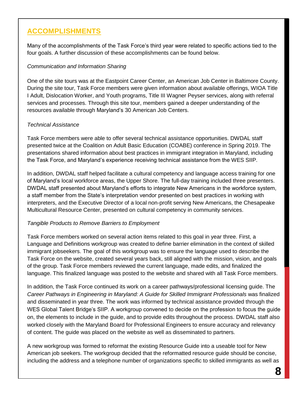### **ACCOMPLISHMENTS**

Many of the accomplishments of the Task Force's third year were related to specific actions tied to the four goals. A further discussion of these accomplishments can be found below.

#### *Communication and Information Sharing*

One of the site tours was at the Eastpoint Career Center, an American Job Center in Baltimore County. During the site tour, Task Force members were given information about available offerings, WIOA Title I Adult, Dislocation Worker, and Youth programs, Title III Wagner Peyser services, along with referral services and processes. Through this site tour, members gained a deeper understanding of the resources available through Maryland's 30 American Job Centers.

#### *Technical Assistance*

Task Force members were able to offer several technical assistance opportunities. DWDAL staff presented twice at the Coalition on Adult Basic Education (COABE) conference in Spring 2019. The presentations shared information about best practices in immigrant integration in Maryland, including the Task Force, and Maryland's experience receiving technical assistance from the WES SIIP.

In addition, DWDAL staff helped facilitate a cultural competency and language access training for one of Maryland's local workforce areas, the Upper Shore. The full-day training included three presenters. DWDAL staff presented about Maryland's efforts to integrate New Americans in the workforce system, a staff member from the State's interpretation vendor presented on best practices in working with interpreters, and the Executive Director of a local non-profit serving New Americans, the Chesapeake Multicultural Resource Center, presented on cultural competency in community services.

#### *Tangible Products to Remove Barriers to Employment*

Task Force members worked on several action items related to this goal in year three. First, a Language and Definitions workgroup was created to define barrier elimination in the context of skilled immigrant jobseekers. The goal of this workgroup was to ensure the language used to describe the Task Force on the website, created several years back, still aligned with the mission, vision, and goals of the group. Task Force members reviewed the current language, made edits, and finalized the language. This finalized language was posted to the website and shared with all Task Force members.

In addition, the Task Force continued its work on a career pathways/professional licensing guide. The *Career Pathways in Engineering in Maryland: A Guide for Skilled Immigrant Professionals* was finalized and disseminated in year three. The work was informed by technical assistance provided through the WES Global Talent Bridge's SIIP. A workgroup convened to decide on the profession to focus the guide on, the elements to include in the guide, and to provide edits throughout the process. DWDAL staff also worked closely with the Maryland Board for Professional Engineers to ensure accuracy and relevancy of content. The guide was placed on the website as well as disseminated to partners.

A new workgroup was formed to reformat the existing Resource Guide into a useable tool for New American job seekers. The workgroup decided that the reformatted resource guide should be concise, including the address and a telephone number of organizations specific to skilled immigrants as well as